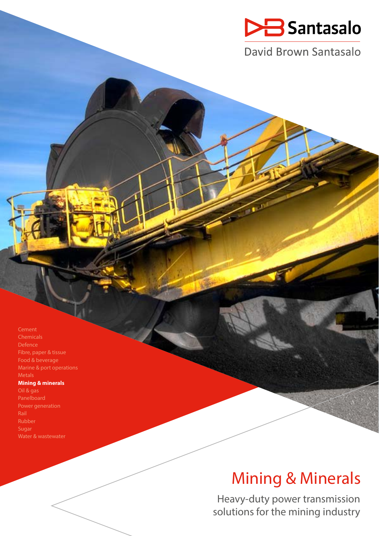

David Brown Santasalo

Cement Fibre, paper & tissue Food & beverage Marine & port operations Metals **Mining & minerals** Oil & gas Power generation

Sugar

# Mining & Minerals

Heavy-duty power transmission solutions for the mining industry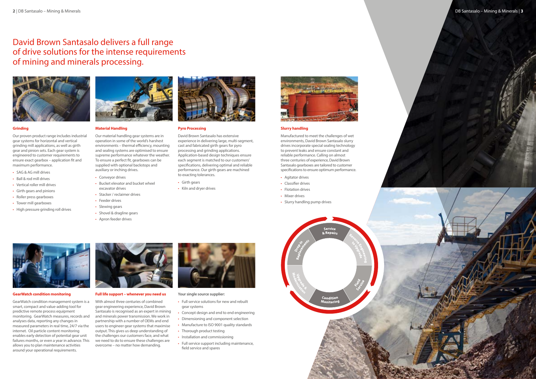# David Brown Santasalo delivers a full range of drive solutions for the intense requirements of mining and minerals processing.





# **Slurry handling**

Manufactured to meet the challenges of wet environments, David Brown Santasalo slurry drives incorporate special sealing technology to prevent leaks and ensure constant and reliable performance. Calling on almost three centuries of experience, David Brown Santasalo gearboxes are tailored to customer specifications to ensure optimum performance.

- Agitator drives
- Classifier drives
- Flotation drives
- Mixer drives
- Slurry handling pump drives





# **Grinding**

Our proven product range includes industrial gear systems for horizontal and vertical grinding mill applications, as well as girth gear and pinion sets. Each gear system is engineered to customer requirements to ensure exact gearbox – application fit and maximum performance.

- SAG & AG mill drives
- Ball & rod mill drives
- Vertical roller mill drives
- Girth gears and pinions
- Roller press gearboxes
- Tower mill gearboxes
- High pressure grinding roll drives



# **Material Handling**

Our material handling gear systems are in operation in some of the world's harshest environments – thermal efficiency, mounting and sealing systems are optimised to ensure supreme performance whatever the weather. To ensure a perfect fit, gearboxes can be supplied with optional backstops and auxiliary or inching drives.

- Conveyor drives
- Bucket elevator and bucket wheel excavator drives
- Stacker / reclaimer drives
- Feeder drives
- Slewing gears
- Shovel & dragline gears
- Apron feeder drives



# **Pyro Processing**

David Brown Santasalo has extensive experience in delivering large, multi-segment, cast and fabricated girth gears for pyro processing and grinding applications. Application-based design techniques ensure each segment is matched to our customers' specifications, delivering optimal and reliable performance. Our girth gears are machined to exacting tolerances.

- Girth gears
- Kiln and dryer drives



#### **GearWatch condition monitoring**

GearWatch condition management system is a smart, compact and value-adding tool for predictive remote process equipment monitoring. GearWatch measures, records and analyses data, reporting any changes in measured parameters in real time, 24/7 via the internet. Oil particle content monitoring enables early detection of potential gear unit failures months, or even a year in advance. This allows you to plan maintenance activities around your operational requirements.



#### **Full life support – whenever you need us**

With almost three centuries of combined gear engineering experience, David Brown Santasalo is recognised as an expert in mining and minerals power transmission. We work in partnership with a number of OEMs and end users to engineer gear systems that maximise output. This gives us deep understanding of the challenges our customers face, and what we need to do to ensure these challenges are overcome – no matter how demanding.



- Full service solutions for new and rebuilt gear systems
- Concept design and end to end engineering • Dimensioning and component selection
- Manufacture to ISO 9001 quality standards
- 
- Thorough product testing
- Installation and commissioning
- Full service support including maintenance, field service and spares